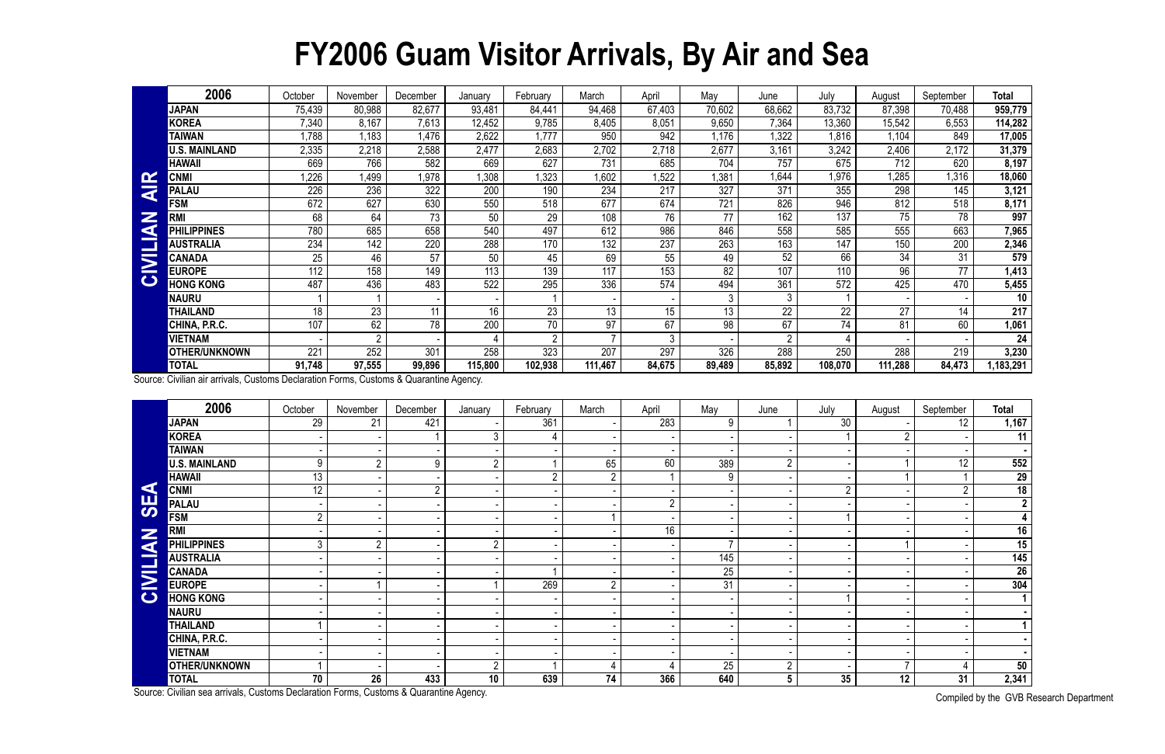## **FY2006 Guam Visitor Arrivals, By Air and Sea**

|                         | 2006                 | October | November | December        | January | February       | March   | April  | May    | June          | July    | August  | September | <b>Total</b> |
|-------------------------|----------------------|---------|----------|-----------------|---------|----------------|---------|--------|--------|---------------|---------|---------|-----------|--------------|
|                         | <b>JAPAN</b>         | 75,439  | 80,988   | 82,677          | 93,481  | 84,441         | 94,468  | 67,403 | 70,602 | 68,662        | 83,732  | 87,398  | 70,488    | 959,779      |
|                         | <b>KOREA</b>         | 7,340   | 8,167    | 7,613           | 12,452  | 9,785          | 8,405   | 8,051  | 9,650  | 7,364         | 13,360  | 15,542  | 6,553     | 114,282      |
|                         | <b>TAIWAN</b>        | 1,788   | 1,183    | 1.476           | 2,622   | ,777           | 950     | 942    | .176   | 1,322         | 1,816   | 1,104   | 849       | 17,005       |
|                         | <b>U.S. MAINLAND</b> | 2,335   | 2,218    | 2,588           | 2,477   | 2,683          | 2,702   | 2,718  | 2,677  | 3,161         | 3,242   | 2,406   | 2,172     | 31,379       |
|                         | <b>HAWAII</b>        | 669     | 766      | 582             | 669     | 627            | 731     | 685    | 704    | 757           | 675     | 712     | 620       | 8,197        |
| $\mathbf{\alpha}$       | <b>CNMI</b>          | 226     | 1,499    | 1,978           | 1,308   | ,323           | 1,602   | ,522   | , 381  | 1,644         | 1,976   | 1,285   | ,316      | 18,060       |
| $\overline{\textbf{z}}$ | <b>PALAU</b>         | 226     | 236      | 322             | 200     | 190            | 234     | 217    | 327    | 371           | 355     | 298     | 145       | 3,121        |
|                         | <b>FSM</b>           | 672     | 627      | 630             | 550     | 518            | 677     | 674    | 721    | 826           | 946     | 812     | 518       | 8,171        |
| Z<br>d                  | <b>RM</b>            | 68      | 64       | 73              | 50      | 29             | 108     | 76     | 77     | 162           | 137     | 75      | 78        | 997          |
|                         | <b>PHILIPPINES</b>   | 780     | 685      | 658             | 540     | 497            | 612     | 986    | 846    | 558           | 585     | 555     | 663       | 7,965        |
| <b>Property</b>         | AUSTRALIA            | 234     | 142      | 220             | 288     | 170            | 132     | 237    | 263    | 163           | 147     | 150     | 200       | 2,346        |
| $\overline{\mathbf{z}}$ | <b>CANADA</b>        | 25      | 46       | 57              | 50      | 45             | 69      | 55     | 49     | 52            | 66      | 34      | 31        | 579          |
|                         | <b>EUROPE</b>        | 112     | 158      | 149             | 113     | 139            | 117     | 153    | 82     | 107           | 110     | 96      | 77        | 1,413        |
| $\mathbf C$             | <b>HONG KONG</b>     | 487     | 436      | 483             | 522     | 295            | 336     | 574    | 494    | 361           | 572     | 425     | 470       | 5,455        |
|                         | NAURU                |         |          |                 |         |                |         |        | 3      | 3             |         |         |           | 10           |
|                         | THAILAND             | 18      | 23       | 11              | 16      | 23             | 13      | 15     | 13     | 22            | 22      | 27      | 14        | 217          |
|                         | CHINA, P.R.C.        | 107     | 62       | 78              | 200     | 70             | 97      | 67     | 98     | 67            | 74      | 81      | 60        | 1,061        |
|                         | <b>VIETNAM</b>       |         |          |                 |         | $\overline{2}$ |         |        |        | $\mathcal{D}$ |         |         |           | 24           |
|                         | <b>OTHER/UNKNOWN</b> | 221     | 252      | 30 <sup>7</sup> | 258     | 323            | 207     | 297    | 326    | 288           | 250     | 288     | 219       | 3,230        |
|                         | <b>TOTAL</b>         | 91,748  | 97,555   | 99,896          | 115,800 | 102,938        | 111,467 | 84,675 | 89,489 | 85,892        | 108,070 | 111,288 | 84,473    | 1,183,291    |

|                | <b>CNMI</b>                                                                            | 1,226           | 1,499          | 1,978           | 1,308          | 1,323           | 1,602          | 1,522           | 1,381           | 1,644           | 1,976            | 1,285           | 1,316            | 18,060                  |
|----------------|----------------------------------------------------------------------------------------|-----------------|----------------|-----------------|----------------|-----------------|----------------|-----------------|-----------------|-----------------|------------------|-----------------|------------------|-------------------------|
| <b>AIR</b>     | <b>PALAU</b>                                                                           | 226             | 236            | 322             | 200            | 190             | 234            | 217             | 327             | 371             | 355              | 298             | 145              | 3,121                   |
|                | <b>FSM</b>                                                                             | 672             | 627            | 630             | 550            | 518             | 677            | 674             | 721             | 826             | 946              | 812             | 518              | 8,171                   |
| KA             | <b>RMI</b>                                                                             | 68              | 64             | $\overline{73}$ | 50             | $\overline{29}$ | 108            | 76              | 77              | 162             | 137              | 75              | 78               | 997                     |
|                | <b>PHILIPPINES</b>                                                                     | 780             | 685            | 658             | 540            | 497             | 612            | 986             | 846             | 558             | 585              | 555             | 663              | 7,965                   |
|                | <b>AUSTRALIA</b>                                                                       | 234             | 142            | 220             | 288            | 170             | 132            | 237             | 263             | 163             | 147              | 150             | $\overline{200}$ | 2,346                   |
|                | <b>CANADA</b>                                                                          | 25              | 46             | $\overline{57}$ | 50             | 45              | 69             | 55              | 49              | 52              | 66               | $\overline{34}$ | 31               | 579                     |
| <b>CIVILI</b>  | <b>EUROPE</b>                                                                          | 112             | 158            | 149             | 113            | 139             | 117            | 153             | $\overline{82}$ | 107             | 110              | 96              | $\overline{77}$  | 1,413                   |
|                | <b>HONG KONG</b>                                                                       | 487             | 436            | 483             | 522            | 295             | 336            | 574             | 494             | 361             | $\overline{572}$ | 425             | 470              | 5,455                   |
|                | <b>NAURU</b>                                                                           |                 | 1              |                 |                |                 |                |                 | 3               | 3               |                  |                 |                  | 10                      |
|                | <b>THAILAND</b>                                                                        | 18              | 23             | 11              | 16             | 23              | 13             | 15              | 13              | $\overline{22}$ | $\overline{22}$  | $\overline{27}$ | 14               | 217                     |
|                | CHINA, P.R.C.                                                                          | 107             | 62             | 78              | 200            | 70              | 97             | 67              | 98              | 67              | 74               | 81              | 60               | 1,061                   |
|                | <b>VIETNAM</b>                                                                         |                 | $\overline{2}$ |                 |                | $\overline{2}$  | $\overline{7}$ | 3               |                 | $\overline{2}$  |                  |                 |                  | $\overline{24}$         |
|                | <b>OTHER/UNKNOWN</b>                                                                   | 221             | 252            | 301             | 258            | 323             | 207            | 297             | 326             | 288             | 250              | 288             | 219              | 3,230                   |
|                | <b>TOTAL</b>                                                                           | 91,748          | 97,555         | 99,896          | 115,800        | 102,938         | 111,467        | 84,675          | 89,489          | 85,892          | 108,070          | 111,288         | 84,473           | 1,183,291               |
|                | Source: Civilian air arrivals, Customs Declaration Forms, Customs & Quarantine Agency. |                 |                |                 |                |                 |                |                 |                 |                 |                  |                 |                  |                         |
|                |                                                                                        |                 |                |                 |                |                 |                |                 |                 |                 |                  |                 |                  |                         |
|                | 2006                                                                                   | October         | November       | December        | January        | February        | March          | April           | May             | June            | July             | August          | September        | <b>Total</b>            |
|                | <b>JAPAN</b>                                                                           | 29              | 21             | 421             |                | 361             |                | 283             | 9               |                 | $\overline{30}$  |                 | 12               | 1,167                   |
|                | <b>KOREA</b>                                                                           |                 |                |                 | 3              | 4               |                |                 |                 |                 |                  | $\overline{2}$  |                  | 11                      |
|                | <b>TAIWAN</b>                                                                          |                 |                |                 |                |                 |                |                 |                 |                 |                  |                 |                  | $\blacksquare$          |
|                | <b>U.S. MAINLAND</b>                                                                   | 9               | $\overline{2}$ | 9               | $\overline{2}$ |                 | 65             | 60              | 389             | $\overline{2}$  |                  |                 | 12               | 552                     |
|                | <b>HAWAII</b>                                                                          | 13              |                |                 |                | $\overline{2}$  | $2^{\circ}$    |                 | 9               |                 |                  |                 |                  | 29                      |
|                | <b>CNMI</b>                                                                            | 12 <sup>°</sup> |                | $\overline{2}$  |                |                 |                |                 |                 |                 | $\overline{2}$   |                 | $\overline{2}$   | $\overline{18}$         |
| <b>SEA</b>     | <b>PALAU</b>                                                                           |                 |                |                 |                |                 |                | $\overline{2}$  |                 |                 |                  |                 |                  | $\overline{2}$          |
|                | <b>FSM</b>                                                                             | $\overline{2}$  |                |                 |                |                 |                |                 |                 |                 |                  |                 |                  | $\overline{\mathbf{4}}$ |
|                | <b>RMI</b>                                                                             |                 |                |                 |                |                 |                | $\overline{16}$ |                 |                 |                  |                 |                  | 16                      |
|                | <b>PHILIPPINES</b>                                                                     | 3               | $2^{\circ}$    |                 | $\overline{2}$ |                 |                |                 |                 |                 |                  |                 |                  | 15                      |
| <b>NAININI</b> | <b>AUSTRALIA</b>                                                                       |                 |                |                 |                |                 |                |                 | 145             |                 |                  |                 |                  | $\overline{145}$        |
|                | <b>CANADA</b>                                                                          |                 |                |                 |                |                 |                |                 | 25              |                 |                  |                 |                  | 26                      |
|                | <b>EUROPE</b>                                                                          |                 |                |                 |                | 269             | $\overline{2}$ |                 | 31              |                 |                  |                 |                  | 304                     |
| $\bullet$      | <b>HONG KONG</b>                                                                       |                 |                |                 |                |                 |                |                 |                 |                 | $\mathbf 1$      |                 |                  | $\overline{1}$          |
|                | <b>NAURU</b>                                                                           |                 |                |                 |                |                 |                |                 |                 |                 |                  |                 |                  |                         |
|                | <b>THAILAND</b>                                                                        |                 |                |                 |                |                 |                |                 |                 |                 |                  |                 |                  | $\mathbf 1$             |
|                | CHINA, P.R.C.                                                                          |                 |                |                 |                |                 |                |                 |                 |                 |                  |                 |                  | $\sim$                  |
|                | <b>VIETNAM</b>                                                                         |                 |                |                 |                |                 |                |                 |                 |                 |                  |                 |                  |                         |
|                | <b>OTHER/UNKNOWN</b>                                                                   |                 |                |                 | $\overline{2}$ |                 | $\overline{4}$ |                 | 25              | $\overline{2}$  |                  | $\overline{7}$  |                  | 50                      |
|                | <b>TOTAL</b>                                                                           | 70              | 26             | 433             | 10             | 639             | 74             | 366             | 640             | $5\overline{)}$ | 35               | 12              | 31               | 2,341                   |
|                | Source: Civilian sea arrivals, Customs Declaration Forms, Customs & Quarantine Agency. |                 |                |                 |                |                 |                |                 |                 |                 |                  |                 |                  | Compiled by the CVD D   |

Compiled by the GVB Research Department